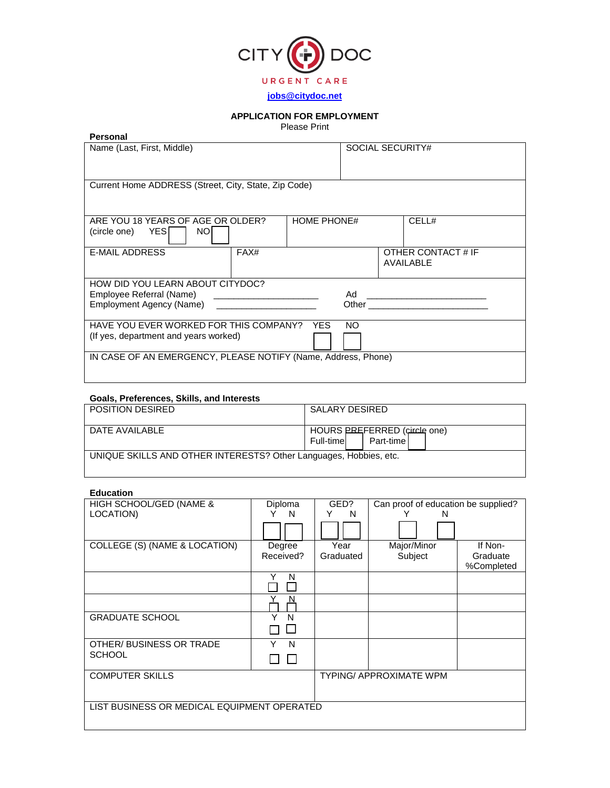

# **APPLICATION FOR EMPLOYMENT**

Please Print

| Personal                                                      |                                                              |                    |                  |           |                    |
|---------------------------------------------------------------|--------------------------------------------------------------|--------------------|------------------|-----------|--------------------|
| Name (Last, First, Middle)                                    |                                                              |                    | SOCIAL SECURITY# |           |                    |
|                                                               |                                                              |                    |                  |           |                    |
|                                                               |                                                              |                    |                  |           |                    |
| Current Home ADDRESS (Street, City, State, Zip Code)          |                                                              |                    |                  |           |                    |
|                                                               |                                                              |                    |                  |           |                    |
|                                                               |                                                              |                    |                  |           |                    |
|                                                               |                                                              |                    |                  |           |                    |
| ARE YOU 18 YEARS OF AGE OR OLDER?                             |                                                              | <b>HOME PHONE#</b> |                  |           | CELL#              |
| <b>NOI</b><br>(circle one) YES                                |                                                              |                    |                  |           |                    |
|                                                               |                                                              |                    |                  |           |                    |
| <b>E-MAIL ADDRESS</b>                                         | FAX#                                                         |                    |                  |           | OTHER CONTACT # IF |
|                                                               |                                                              |                    |                  | AVAILABLE |                    |
|                                                               |                                                              |                    |                  |           |                    |
| HOW DID YOU LEARN ABOUT CITYDOC?                              |                                                              |                    |                  |           |                    |
| Employee Referral (Name)                                      | the property of the control of the control of the control of |                    |                  |           |                    |
| Employment Agency (Name)                                      |                                                              |                    |                  |           |                    |
|                                                               |                                                              |                    |                  |           |                    |
| HAVE YOU EVER WORKED FOR THIS COMPANY? YES                    |                                                              |                    | NO.              |           |                    |
| (If yes, department and years worked)                         |                                                              |                    |                  |           |                    |
|                                                               |                                                              |                    |                  |           |                    |
| IN CASE OF AN EMERGENCY, PLEASE NOTIFY (Name, Address, Phone) |                                                              |                    |                  |           |                    |

## **Goals, Preferences, Skills, and Interests**

| <b>POSITION DESIRED</b>                                           | SALARY DESIRED                                            |
|-------------------------------------------------------------------|-----------------------------------------------------------|
| DATE AVAILABLE                                                    | HOURS PREFERRED (circle one)<br>Part-time I<br>Full-timel |
| UNIQUE SKILLS AND OTHER INTERESTS? Other Languages, Hobbies, etc. |                                                           |

# **Education**

| HIGH SCHOOL/GED (NAME &                     | Diploma   | GED?      | Can proof of education be supplied? |            |
|---------------------------------------------|-----------|-----------|-------------------------------------|------------|
| LOCATION)                                   | Y<br>N.   | Υ<br>N    | N<br>Y                              |            |
|                                             |           |           |                                     |            |
| COLLEGE (S) (NAME & LOCATION)               | Degree    | Year      | Major/Minor                         | If Non-    |
|                                             | Received? | Graduated | Subject                             | Graduate   |
|                                             |           |           |                                     | %Completed |
|                                             | Y<br>N    |           |                                     |            |
|                                             |           |           |                                     |            |
|                                             |           |           |                                     |            |
| <b>GRADUATE SCHOOL</b>                      | N         |           |                                     |            |
|                                             |           |           |                                     |            |
| OTHER/ BUSINESS OR TRADE                    | N         |           |                                     |            |
| <b>SCHOOL</b>                               |           |           |                                     |            |
| <b>COMPUTER SKILLS</b>                      |           |           | <b>TYPING/ APPROXIMATE WPM</b>      |            |
|                                             |           |           |                                     |            |
| LIST BUSINESS OR MEDICAL EQUIPMENT OPERATED |           |           |                                     |            |
|                                             |           |           |                                     |            |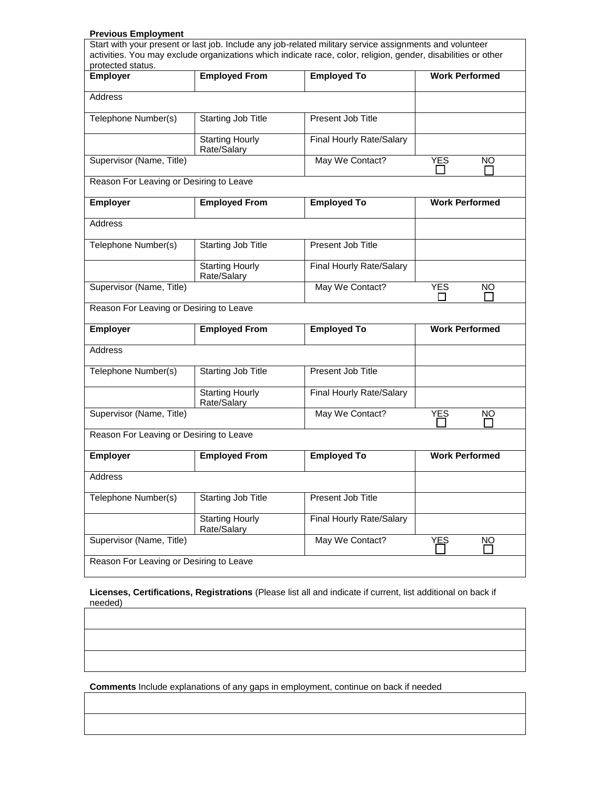# **Previous Employment**

|                                         |                                       | Start with your present or last job. Include any job-related military service assignments and volunteer<br>activities. You may exclude organizations which indicate race, color, religion, gender, disabilities or other |                       |
|-----------------------------------------|---------------------------------------|--------------------------------------------------------------------------------------------------------------------------------------------------------------------------------------------------------------------------|-----------------------|
| protected status.                       |                                       |                                                                                                                                                                                                                          |                       |
| <b>Employer</b>                         | <b>Employed From</b>                  | <b>Employed To</b>                                                                                                                                                                                                       | <b>Work Performed</b> |
| Address                                 |                                       |                                                                                                                                                                                                                          |                       |
| Telephone Number(s)                     | Starting Job Title                    | Present Job Title                                                                                                                                                                                                        |                       |
|                                         | <b>Starting Hourly</b><br>Rate/Salary | Final Hourly Rate/Salary                                                                                                                                                                                                 |                       |
| Supervisor (Name, Title)                |                                       | May We Contact?                                                                                                                                                                                                          | YES<br><b>NO</b>      |
| Reason For Leaving or Desiring to Leave |                                       |                                                                                                                                                                                                                          |                       |
| Employer                                | <b>Employed From</b>                  | <b>Employed To</b>                                                                                                                                                                                                       | <b>Work Performed</b> |
| Address                                 |                                       |                                                                                                                                                                                                                          |                       |
| Telephone Number(s)                     | Starting Job Title                    | Present Job Title                                                                                                                                                                                                        |                       |
|                                         | <b>Starting Hourly</b><br>Rate/Salary | Final Hourly Rate/Salary                                                                                                                                                                                                 |                       |
| Supervisor (Name, Title)                |                                       | May We Contact?                                                                                                                                                                                                          | <b>YES</b><br>NO      |
| Reason For Leaving or Desiring to Leave |                                       |                                                                                                                                                                                                                          |                       |
| <b>Employer</b>                         | <b>Employed From</b>                  | <b>Employed To</b>                                                                                                                                                                                                       | <b>Work Performed</b> |
| Address                                 |                                       |                                                                                                                                                                                                                          |                       |
| Telephone Number(s)                     | Starting Job Title                    | Present Job Title                                                                                                                                                                                                        |                       |
|                                         | <b>Starting Hourly</b><br>Rate/Salary | Final Hourly Rate/Salary                                                                                                                                                                                                 |                       |
| Supervisor (Name, Title)                |                                       | May We Contact?                                                                                                                                                                                                          | <b>YES</b><br>NO      |
| Reason For Leaving or Desiring to Leave |                                       |                                                                                                                                                                                                                          |                       |
| Employer                                | <b>Employed From</b>                  | <b>Employed To</b>                                                                                                                                                                                                       | <b>Work Performed</b> |
| Address                                 |                                       |                                                                                                                                                                                                                          |                       |
| Telephone Number(s)                     | <b>Starting Job Title</b>             | Present Job Title                                                                                                                                                                                                        |                       |
|                                         | <b>Starting Hourly</b><br>Rate/Salary | Final Hourly Rate/Salary                                                                                                                                                                                                 |                       |
| Supervisor (Name, Title)                |                                       | May We Contact?                                                                                                                                                                                                          | YES<br>NO             |
| Reason For Leaving or Desiring to Leave |                                       |                                                                                                                                                                                                                          |                       |

**Licenses, Certifications, Registrations** (Please list all and indicate if current, list additional on back if needed)

**Comments** Include explanations of any gaps in employment, continue on back if needed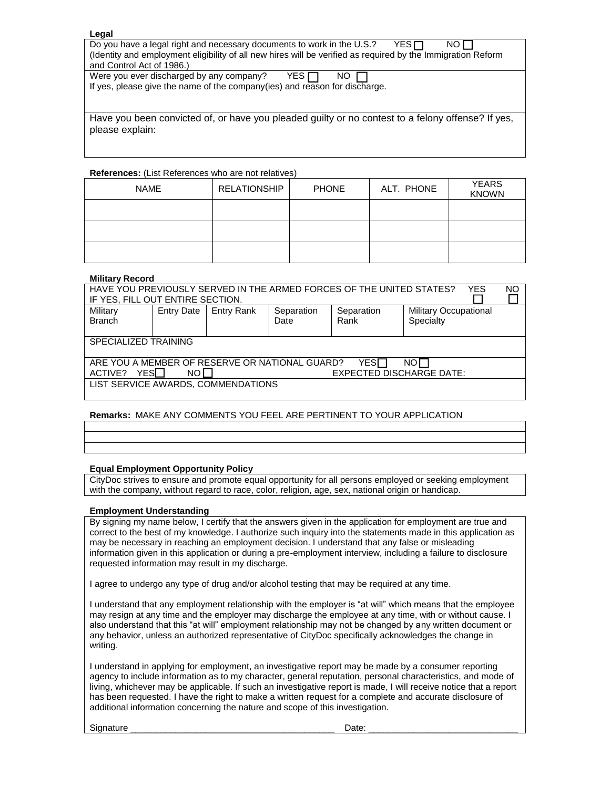#### **Legal**

Do you have a legal right and necessary documents to work in the U.S.? YES  $\Box$  NO  $\Box$ (Identity and employment eligibility of all new hires will be verified as required by the Immigration Reform and Control Act of 1986.)

Were you ever discharged by any company?  $YES \nightharpoonup NO \nightharpoonup$ If yes, please give the name of the company(ies) and reason for discharge.

Have you been convicted of, or have you pleaded guilty or no contest to a felony offense? If yes, please explain:

#### **References:** (List References who are not relatives)

| <b>NAME</b> | <b>RELATIONSHIP</b> | <b>PHONE</b> | ALT. PHONE | <b>YEARS</b><br><b>KNOWN</b> |
|-------------|---------------------|--------------|------------|------------------------------|
|             |                     |              |            |                              |
|             |                     |              |            |                              |
|             |                     |              |            |                              |

#### **Military Record**

| HAVE YOU PREVIOUSLY SERVED IN THE ARMED FORCES OF THE UNITED STATES?<br>NO<br><b>YES</b> |                   |                   |            |            |                              |  |
|------------------------------------------------------------------------------------------|-------------------|-------------------|------------|------------|------------------------------|--|
| IF YES, FILL OUT ENTIRE SECTION.                                                         |                   |                   |            |            |                              |  |
| Military                                                                                 | <b>Entry Date</b> | <b>Entry Rank</b> | Separation | Separation | <b>Military Occupational</b> |  |
| <b>Branch</b>                                                                            |                   |                   | Date       | Rank       | Specialty                    |  |
|                                                                                          |                   |                   |            |            |                              |  |
| SPECIALIZED TRAINING                                                                     |                   |                   |            |            |                              |  |
|                                                                                          |                   |                   |            |            |                              |  |
| ARE YOU A MEMBER OF RESERVE OR NATIONAL GUARD?<br>YESIT<br>NOL                           |                   |                   |            |            |                              |  |
| YES∏<br>NO L<br><b>EXPECTED DISCHARGE DATE:</b><br>ACTIVE?                               |                   |                   |            |            |                              |  |
| LIST SERVICE AWARDS, COMMENDATIONS                                                       |                   |                   |            |            |                              |  |
|                                                                                          |                   |                   |            |            |                              |  |

### **Remarks:** MAKE ANY COMMENTS YOU FEEL ARE PERTINENT TO YOUR APPLICATION

### **Equal Employment Opportunity Policy**

CityDoc strives to ensure and promote equal opportunity for all persons employed or seeking employment with the company, without regard to race, color, religion, age, sex, national origin or handicap.

#### **Employment Understanding**

By signing my name below, I certify that the answers given in the application for employment are true and correct to the best of my knowledge. I authorize such inquiry into the statements made in this application as may be necessary in reaching an employment decision. I understand that any false or misleading information given in this application or during a pre-employment interview, including a failure to disclosure requested information may result in my discharge.

I agree to undergo any type of drug and/or alcohol testing that may be required at any time.

I understand that any employment relationship with the employer is "at will" which means that the employee may resign at any time and the employer may discharge the employee at any time, with or without cause. I also understand that this "at will" employment relationship may not be changed by any written document or any behavior, unless an authorized representative of CityDoc specifically acknowledges the change in writing.

I understand in applying for employment, an investigative report may be made by a consumer reporting agency to include information as to my character, general reputation, personal characteristics, and mode of living, whichever may be applicable. If such an investigative report is made, I will receive notice that a report has been requested. I have the right to make a written request for a complete and accurate disclosure of additional information concerning the nature and scope of this investigation.

Signature \_\_\_\_\_\_\_\_\_\_\_\_\_\_\_\_\_\_\_\_\_\_\_\_\_\_\_\_\_\_\_\_\_\_\_\_\_\_\_\_\_ Date: \_\_\_\_\_\_\_\_\_\_\_\_\_\_\_\_\_\_\_\_\_\_\_\_\_\_\_\_\_\_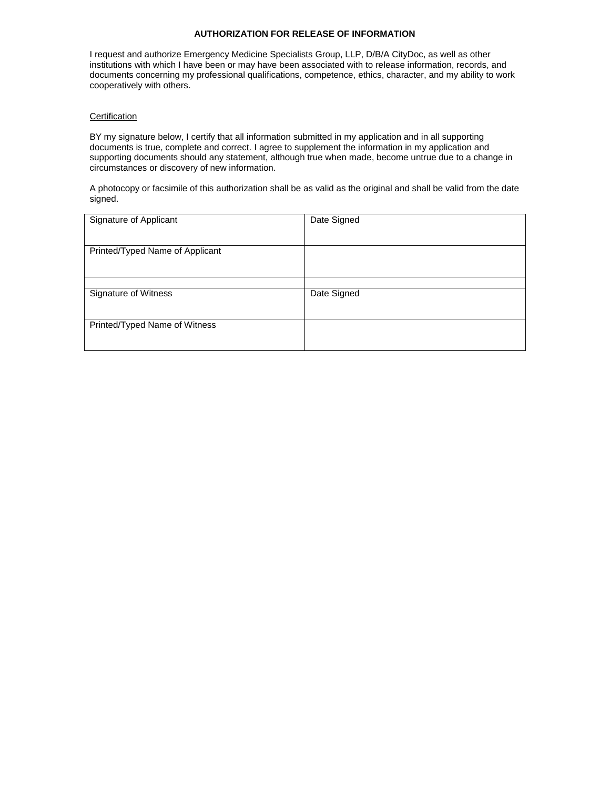## **AUTHORIZATION FOR RELEASE OF INFORMATION**

I request and authorize Emergency Medicine Specialists Group, LLP, D/B/A CityDoc, as well as other institutions with which I have been or may have been associated with to release information, records, and documents concerning my professional qualifications, competence, ethics, character, and my ability to work cooperatively with others.

### **Certification**

BY my signature below, I certify that all information submitted in my application and in all supporting documents is true, complete and correct. I agree to supplement the information in my application and supporting documents should any statement, although true when made, become untrue due to a change in circumstances or discovery of new information.

A photocopy or facsimile of this authorization shall be as valid as the original and shall be valid from the date signed.

| Signature of Applicant          | Date Signed |
|---------------------------------|-------------|
| Printed/Typed Name of Applicant |             |
|                                 |             |
| Signature of Witness            | Date Signed |
| Printed/Typed Name of Witness   |             |